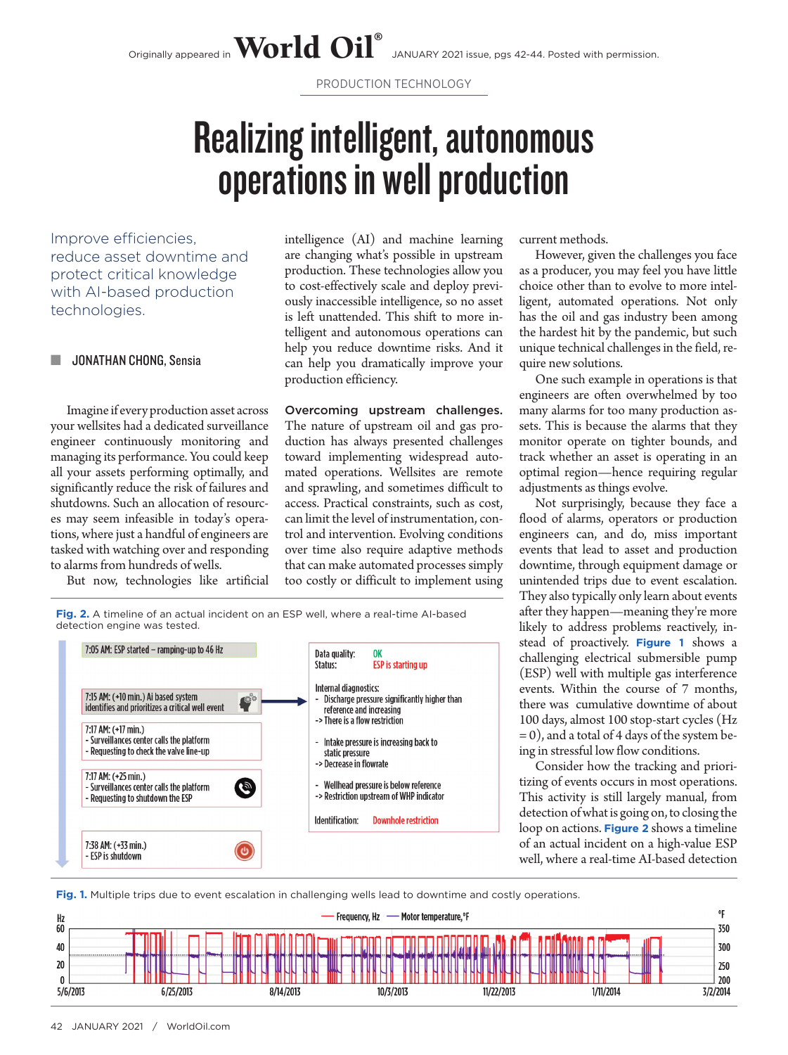PRODUCTION TECHNOLOGY

## Realizing intelligent, autonomous operations in well production

Improve efficiencies, reduce asset downtime and protect critical knowledge with AI-based production technologies.

## **JONATHAN CHONG, Sensia**

Imagine if every production asset across your wellsites had a dedicated surveillance engineer continuously monitoring and managing its performance. You could keep all your assets performing optimally, and significantly reduce the risk of failures and shutdowns. Such an allocation of resources may seem infeasible in today's operations, where just a handful of engineers are tasked with watching over and responding to alarms from hundreds of wells.

But now, technologies like artificial

intelligence (AI) and machine learning are changing what's possible in upstream production. These technologies allow you to cost-effectively scale and deploy previously inaccessible intelligence, so no asset is left unattended. This shift to more intelligent and autonomous operations can help you reduce downtime risks. And it can help you dramatically improve your production efficiency.

Overcoming upstream challenges. The nature of upstream oil and gas production has always presented challenges toward implementing widespread automated operations. Wellsites are remote and sprawling, and sometimes difficult to access. Practical constraints, such as cost, can limit the level of instrumentation, control and intervention. Evolving conditions over time also require adaptive methods that can make automated processes simply too costly or difficult to implement using current methods.

However, given the challenges you face as a producer, you may feel you have little choice other than to evolve to more intelligent, automated operations. Not only has the oil and gas industry been among the hardest hit by the pandemic, but such unique technical challenges in the field, require new solutions.

One such example in operations is that engineers are often overwhelmed by too many alarms for too many production assets. This is because the alarms that they monitor operate on tighter bounds, and track whether an asset is operating in an optimal region—hence requiring regular adjustments as things evolve.

Not surprisingly, because they face a flood of alarms, operators or production engineers can, and do, miss important events that lead to asset and production downtime, through equipment damage or unintended trips due to event escalation. They also typically only learn about events after they happen—meaning they're more likely to address problems reactively, instead of proactively. **Figure 1** shows a challenging electrical submersible pump (ESP) well with multiple gas interference events. Within the course of 7 months, there was cumulative downtime of about 100 days, almost 100 stop-start cycles (Hz = 0), and a total of 4 days of the system being in stressful low flow conditions.

Consider how the tracking and prioritizing of events occurs in most operations. This activity is still largely manual, from detection of what is going on, to closing the loop on actions. **Figure 2** shows a timeline of an actual incident on a high-value ESP well, where a real-time AI-based detection

**Fig. 2.** A timeline of an actual incident on an ESP well, where a real-time AI-based detection engine was tested.



**Fig. 1.** Multiple trips due to event escalation in challenging wells lead to downtime and costly operations.

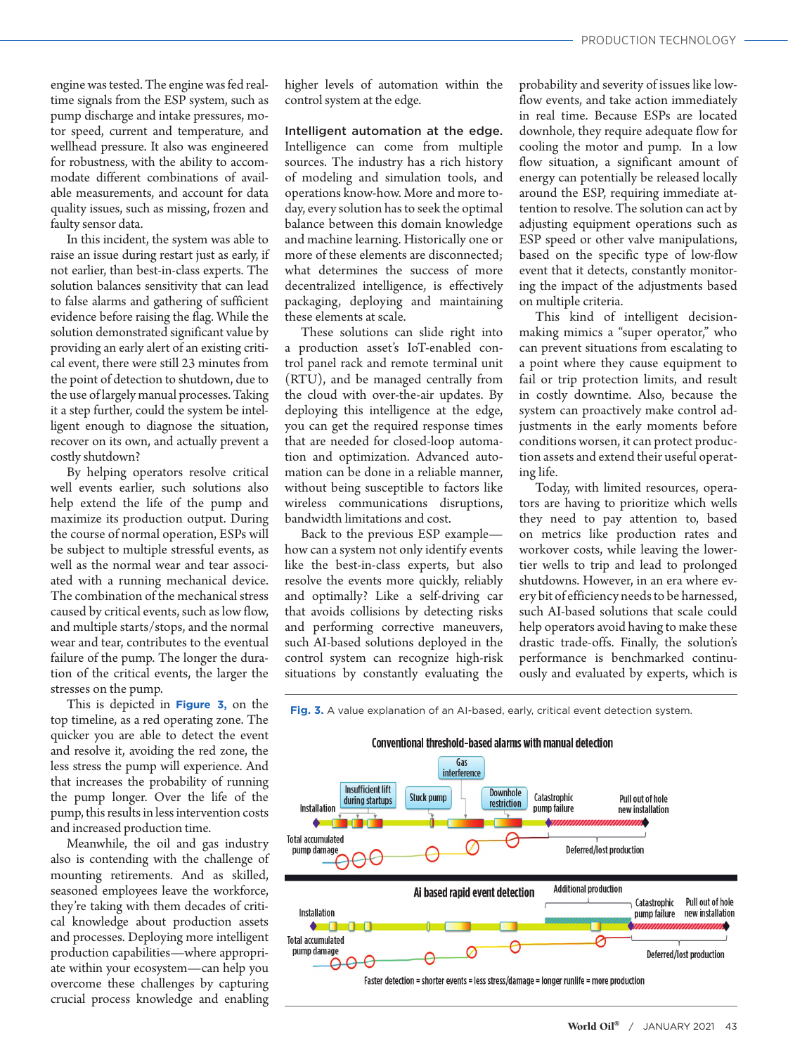engine was tested. The engine was fed realtime signals from the ESP system, such as pump discharge and intake pressures, motor speed, current and temperature, and wellhead pressure. It also was engineered for robustness, with the ability to accommodate different combinations of available measurements, and account for data quality issues, such as missing, frozen and faulty sensor data.

In this incident, the system was able to raise an issue during restart just as early, if not earlier, than best-in-class experts. The solution balances sensitivity that can lead to false alarms and gathering of sufficient evidence before raising the flag. While the solution demonstrated significant value by providing an early alert of an existing critical event, there were still 23 minutes from the point of detection to shutdown, due to the use of largely manual processes. Taking it a step further, could the system be intelligent enough to diagnose the situation, recover on its own, and actually prevent a costly shutdown?

By helping operators resolve critical well events earlier, such solutions also help extend the life of the pump and maximize its production output. During the course of normal operation, ESPs will be subject to multiple stressful events, as well as the normal wear and tear associated with a running mechanical device. The combination of the mechanical stress caused by critical events, such as low flow, and multiple starts/stops, and the normal wear and tear, contributes to the eventual failure of the pump. The longer the duration of the critical events, the larger the stresses on the pump.

This is depicted in **Figure 3,** on the top timeline, as a red operating zone. The quicker you are able to detect the event and resolve it, avoiding the red zone, the less stress the pump will experience. And that increases the probability of running the pump longer. Over the life of the pump, this results in less intervention costs and increased production time.

Meanwhile, the oil and gas industry also is contending with the challenge of mounting retirements. And as skilled, seasoned employees leave the workforce, they're taking with them decades of critical knowledge about production assets and processes. Deploying more intelligent production capabilities—where appropriate within your ecosystem—can help you overcome these challenges by capturing crucial process knowledge and enabling

higher levels of automation within the control system at the edge.

Intelligent automation at the edge. Intelligence can come from multiple sources. The industry has a rich history of modeling and simulation tools, and operations know-how. More and more today, every solution has to seek the optimal balance between this domain knowledge and machine learning. Historically one or more of these elements are disconnected; what determines the success of more decentralized intelligence, is effectively packaging, deploying and maintaining these elements at scale.

These solutions can slide right into a production asset's IoT-enabled control panel rack and remote terminal unit (RTU), and be managed centrally from the cloud with over-the-air updates. By deploying this intelligence at the edge, you can get the required response times that are needed for closed-loop automation and optimization. Advanced automation can be done in a reliable manner, without being susceptible to factors like wireless communications disruptions, bandwidth limitations and cost.

Back to the previous ESP example how can a system not only identify events like the best-in-class experts, but also resolve the events more quickly, reliably and optimally? Like a self-driving car that avoids collisions by detecting risks and performing corrective maneuvers, such AI-based solutions deployed in the control system can recognize high-risk situations by constantly evaluating the

probability and severity of issues like lowflow events, and take action immediately in real time. Because ESPs are located downhole, they require adequate flow for cooling the motor and pump. In a low flow situation, a significant amount of energy can potentially be released locally around the ESP, requiring immediate attention to resolve. The solution can act by adjusting equipment operations such as ESP speed or other valve manipulations, based on the specific type of low-flow event that it detects, constantly monitoring the impact of the adjustments based on multiple criteria.

This kind of intelligent decisionmaking mimics a "super operator," who can prevent situations from escalating to a point where they cause equipment to fail or trip protection limits, and result in costly downtime. Also, because the system can proactively make control adjustments in the early moments before conditions worsen, it can protect production assets and extend their useful operating life.

Today, with limited resources, operators are having to prioritize which wells they need to pay attention to, based on metrics like production rates and workover costs, while leaving the lowertier wells to trip and lead to prolonged shutdowns. However, in an era where every bit of efficiency needs to be harnessed, such AI-based solutions that scale could help operators avoid having to make these drastic trade-offs. Finally, the solution's performance is benchmarked continuously and evaluated by experts, which is

**Fig. 3.** A value explanation of an AI-based, early, critical event detection system.